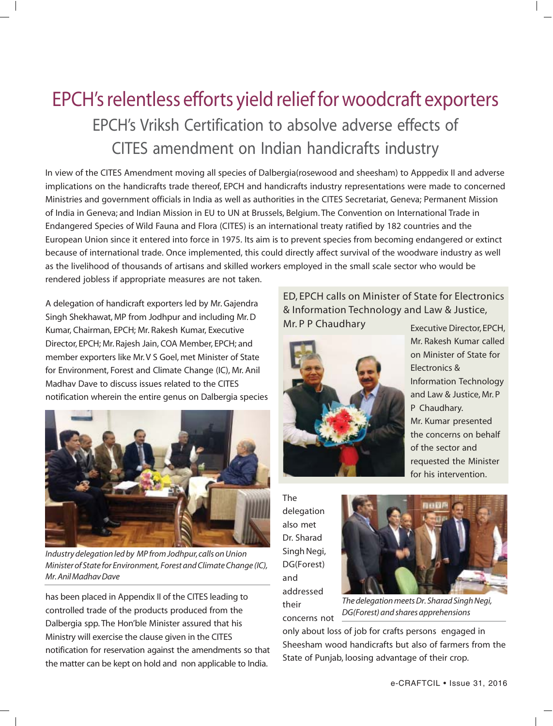## EPCH's relentless efforts yield relief for woodcraft exporters EPCH's Vriksh Certification to absolve adverse effects of CITES amendment on Indian handicrafts industry

In view of the CITES Amendment moving all species of Dalbergia(rosewood and sheesham) to Apppedix II and adverse implications on the handicrafts trade thereof, EPCH and handicrafts industry representations were made to concerned Ministries and government officials in India as well as authorities in the CITES Secretariat, Geneva; Permanent Mission of India in Geneva; and Indian Mission in EU to UN at Brussels, Belgium. The Convention on International Trade in Endangered Species of Wild Fauna and Flora (CITES) is an international treaty ratified by 182 countries and the European Union since it entered into force in 1975. Its aim is to prevent species from becoming endangered or extinct because of international trade. Once implemented, this could directly affect survival of the woodware industry as well as the livelihood of thousands of artisans and skilled workers employed in the small scale sector who would be rendered jobless if appropriate measures are not taken.

A delegation of handicraft exporters led by Mr. Gajendra Singh Shekhawat, MP from Jodhpur and including Mr. D Kumar, Chairman, EPCH; Mr. Rakesh Kumar, Executive Director, EPCH; Mr. Rajesh Jain, COA Member, EPCH; and member exporters like Mr. V S Goel, met Minister of State for Environment, Forest and Climate Change (IC), Mr. Anil Madhav Dave to discuss issues related to the CITES notification wherein the entire genus on Dalbergia species



*Industry delegation led by MP from Jodhpur, calls on Union Minister of State for Environment, Forest and Climate Change (IC), Mr. Anil Madhav Dave*

has been placed in Appendix II of the CITES leading to controlled trade of the products produced from the Dalbergia spp. The Hon'ble Minister assured that his Ministry will exercise the clause given in the CITES notification for reservation against the amendments so that the matter can be kept on hold and non applicable to India.

## ED, EPCH calls on Minister of State for Electronics & Information Technology and Law & Justice, Mr. P P Chaudhary Executive Director, EPCH,



Mr. Rakesh Kumar called on Minister of State for Electronics & Information Technology and Law & Justice, Mr. P P Chaudhary. Mr. Kumar presented the concerns on behalf of the sector and requested the Minister for his intervention.

The delegation also met Dr. Sharad Singh Negi, DG(Forest) and addressed their concerns not



*The delegation meets Dr. Sharad Singh Negi, DG(Forest) and shares apprehensions*

only about loss of job for crafts persons engaged in Sheesham wood handicrafts but also of farmers from the State of Punjab, loosing advantage of their crop.